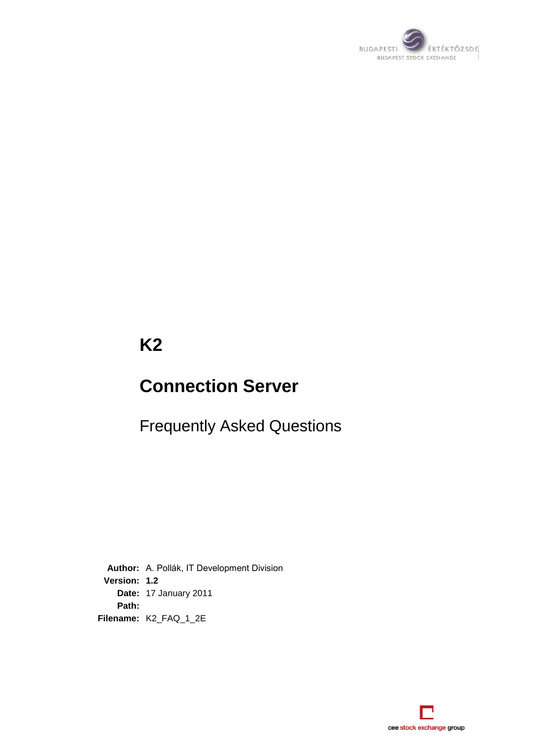

# **K2**

# **Connection Server**

Frequently Asked Questions

**Author:** A. Pollák, IT Development Division **Version: 1.2 Date:** 17 January 2011 **Path: Filename:** K2\_FAQ\_1\_2E

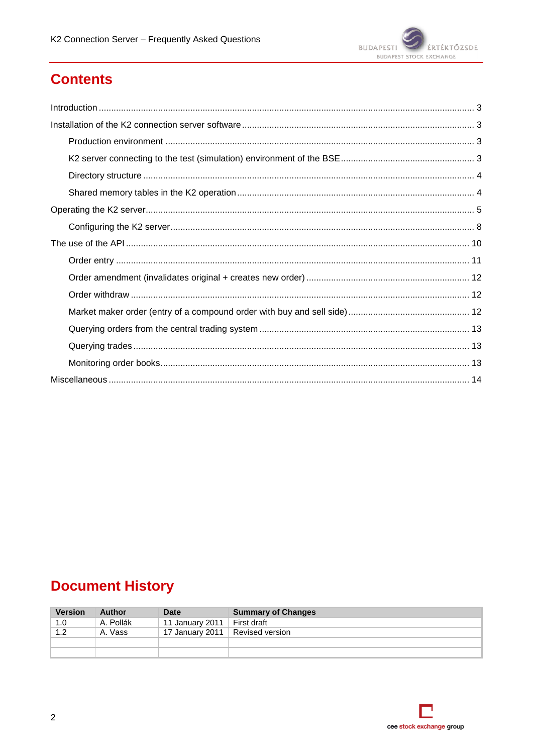

# **Contents**

# **Document History**

| <b>Version</b> | Author    | Date                              | <b>Summary of Changes</b> |
|----------------|-----------|-----------------------------------|---------------------------|
| 1.0            | A. Pollák | 11 January 2011                   | First draft               |
| 1.2            | A. Vass   | 17 January 2011   Revised version |                           |
|                |           |                                   |                           |
|                |           |                                   |                           |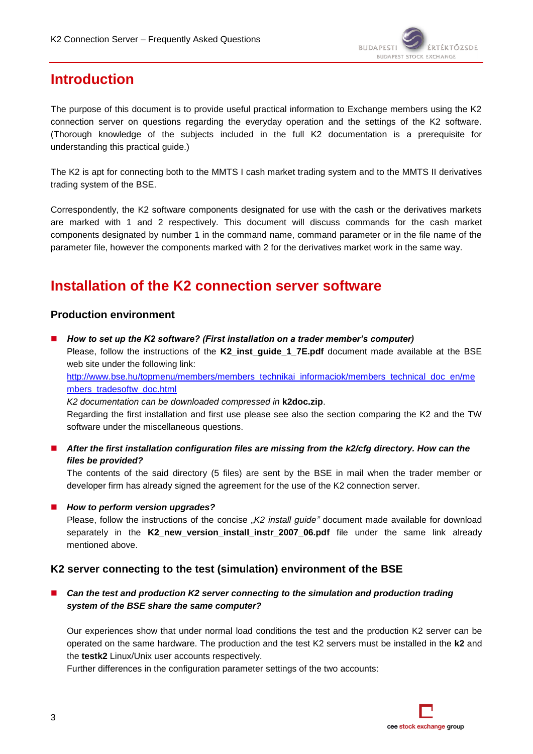

# **Introduction**

The purpose of this document is to provide useful practical information to Exchange members using the K2 connection server on questions regarding the everyday operation and the settings of the K2 software. (Thorough knowledge of the subjects included in the full K2 documentation is a prerequisite for understanding this practical guide.)

The K2 is apt for connecting both to the MMTS I cash market trading system and to the MMTS II derivatives trading system of the BSE.

Correspondently, the K2 software components designated for use with the cash or the derivatives markets are marked with 1 and 2 respectively. This document will discuss commands for the cash market components designated by number 1 in the command name, command parameter or in the file name of the parameter file, however the components marked with 2 for the derivatives market work in the same way.

# **Installation of the K2 connection server software**

### **Production environment**

 *How to set up the K2 software? (First installation on a trader member's computer)* Please, follow the instructions of the **K2\_inst\_guide\_1\_7E.pdf** document made available at the BSE

web site under the following link: [http://www.bse.hu/topmenu/members/members\\_technikai\\_informaciok/members\\_technical\\_doc\\_en/me](http://www.bse.hu/topmenu/members/members_technikai_informaciok/members_technical_doc_en/members_tradesoftw_doc.html) [mbers\\_tradesoftw\\_doc.html](http://www.bse.hu/topmenu/members/members_technikai_informaciok/members_technical_doc_en/members_tradesoftw_doc.html)

*K2 documentation can be downloaded compressed in* **k2doc.zip**.

Regarding the first installation and first use please see also the section comparing the K2 and the TW software under the miscellaneous questions.

 *After the first installation configuration files are missing from the k2/cfg directory. How can the files be provided?*

The contents of the said directory (5 files) are sent by the BSE in mail when the trader member or developer firm has already signed the agreement for the use of the K2 connection server.

■ How to perform version upgrades?

Please, follow the instructions of the concise "*K2 install guide*" document made available for download separately in the **K2\_new\_version\_install\_instr\_2007\_06.pdf** file under the same link already mentioned above.

# **K2 server connecting to the test (simulation) environment of the BSE**

■ Can the test and production K2 server connecting to the simulation and production trading *system of the BSE share the same computer?*

Our experiences show that under normal load conditions the test and the production K2 server can be operated on the same hardware. The production and the test K2 servers must be installed in the **k2** and the **testk2** Linux/Unix user accounts respectively.

Further differences in the configuration parameter settings of the two accounts: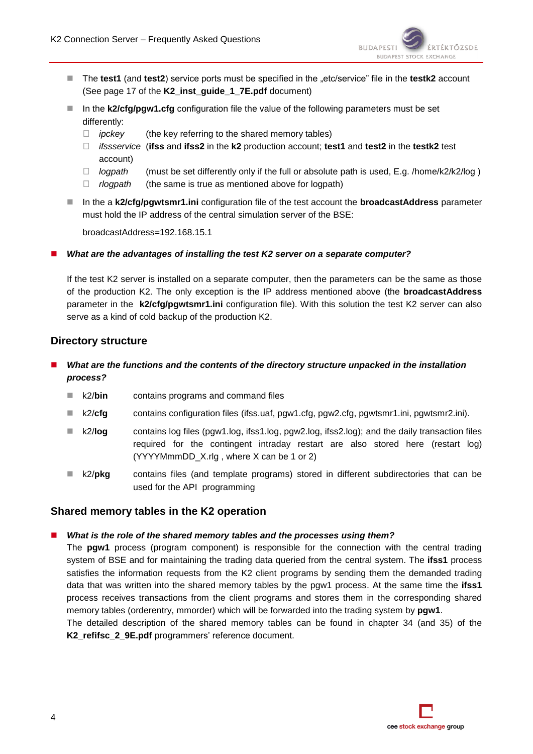

- The **test1** (and **test2**) service ports must be specified in the "etc/service" file in the **testk2** account (See page 17 of the **K2\_inst\_guide\_1\_7E.pdf** document)
- In the **k2/cfg/pgw1.cfg** configuration file the value of the following parameters must be set differently:
	- *ipckey* (the key referring to the shared memory tables)
	- *ifssservice* (**ifss** and **ifss2** in the **k2** production account; **test1** and **test2** in the **testk2** test account)
	- *logpath* (must be set differently only if the full or absolute path is used, E.g. /home/k2/k2/log )
	- *rlogpath* (the same is true as mentioned above for logpath)
- In the a k2/cfg/pgwtsmr1.ini configuration file of the test account the **broadcastAddress** parameter must hold the IP address of the central simulation server of the BSE:

broadcastAddress=192.168.15.1

*What are the advantages of installing the test K2 server on a separate computer?*

If the test K2 server is installed on a separate computer, then the parameters can be the same as those of the production K2. The only exception is the IP address mentioned above (the **broadcastAddress** parameter in the **k2/cfg/pgwtsmr1.ini** configuration file). With this solution the test K2 server can also serve as a kind of cold backup of the production K2.

# **Directory structure**

## *What are the functions and the contents of the directory structure unpacked in the installation process?*

- k2/**bin** contains programs and command files
- k2/**cfg** contains configuration files (ifss.uaf, pgw1.cfg, pgw2.cfg, pgwtsmr1.ini, pgwtsmr2.ini).
- k2/**log** contains log files (pgw1.log, ifss1.log, pgw2.log, ifss2.log); and the daily transaction files required for the contingent intraday restart are also stored here (restart log)  $(YYYYMmmDD X.rlg$ , where X can be 1 or 2)
- k2/pkg contains files (and template programs) stored in different subdirectories that can be used for the API programming

### **Shared memory tables in the K2 operation**

#### *What is the role of the shared memory tables and the processes using them?*

The **pgw1** process (program component) is responsible for the connection with the central trading system of BSE and for maintaining the trading data queried from the central system. The **ifss1** process satisfies the information requests from the K2 client programs by sending them the demanded trading data that was written into the shared memory tables by the pgw1 process. At the same time the **ifss1** process receives transactions from the client programs and stores them in the corresponding shared memory tables (orderentry, mmorder) which will be forwarded into the trading system by **pgw1**.

The detailed description of the shared memory tables can be found in chapter 34 (and 35) of the **K2\_refifsc\_2\_9E.pdf** programmers' reference document.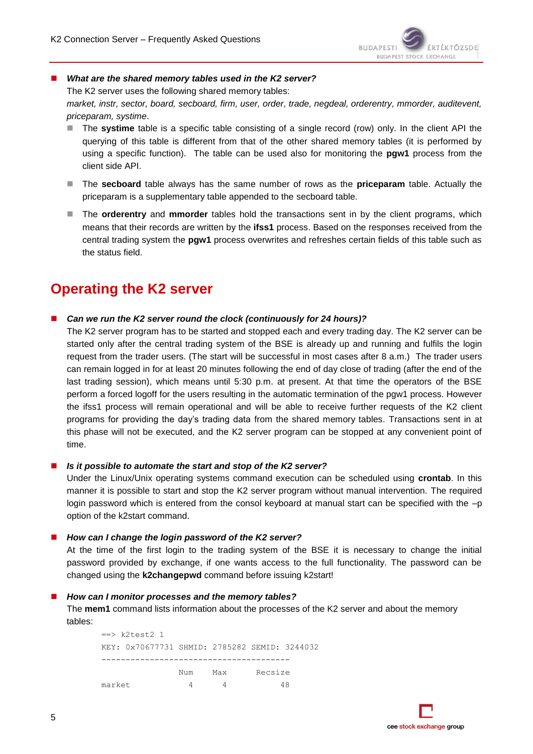

#### ■ *What are the shared memory tables used in the K2 server?*

The K2 server uses the following shared memory tables:

*market, instr, sector, board, secboard, firm, user, order, trade, negdeal, orderentry, mmorder, auditevent, priceparam, systime*.

- The **systime** table is a specific table consisting of a single record (row) only. In the client API the querying of this table is different from that of the other shared memory tables (it is performed by using a specific function). The table can be used also for monitoring the **pgw1** process from the client side API.
- The **secboard** table always has the same number of rows as the **priceparam** table. Actually the priceparam is a supplementary table appended to the secboard table.
- The **orderentry** and **mmorder** tables hold the transactions sent in by the client programs, which means that their records are written by the **ifss1** process. Based on the responses received from the central trading system the **pgw1** process overwrites and refreshes certain fields of this table such as the status field.

# **Operating the K2 server**

*Can we run the K2 server round the clock (continuously for 24 hours)?*

The K2 server program has to be started and stopped each and every trading day. The K2 server can be started only after the central trading system of the BSE is already up and running and fulfils the login request from the trader users. (The start will be successful in most cases after 8 a.m.) The trader users can remain logged in for at least 20 minutes following the end of day close of trading (after the end of the last trading session), which means until 5:30 p.m. at present. At that time the operators of the BSE perform a forced logoff for the users resulting in the automatic termination of the pgw1 process. However the ifss1 process will remain operational and will be able to receive further requests of the K2 client programs for providing the day's trading data from the shared memory tables. Transactions sent in at this phase will not be executed, and the K2 server program can be stopped at any convenient point of time.

#### *Is it possible to automate the start and stop of the K2 server?*

Under the Linux/Unix operating systems command execution can be scheduled using **crontab**. In this manner it is possible to start and stop the K2 server program without manual intervention. The required login password which is entered from the consol keyboard at manual start can be specified with the –p option of the k2start command.

#### ■ How can I change the login password of the K2 server?

At the time of the first login to the trading system of the BSE it is necessary to change the initial password provided by exchange, if one wants access to the full functionality. The password can be changed using the **k2changepwd** command before issuing k2start!

#### *How can I monitor processes and the memory tables?*

The **mem1** command lists information about the processes of the K2 server and about the memory tables:

 $==$   $k2$  test 2 1 KEY: 0x70677731 SHMID: 2785282 SEMID: 3244032 --------------------------------------- Num Max Recsize market 4 4 48

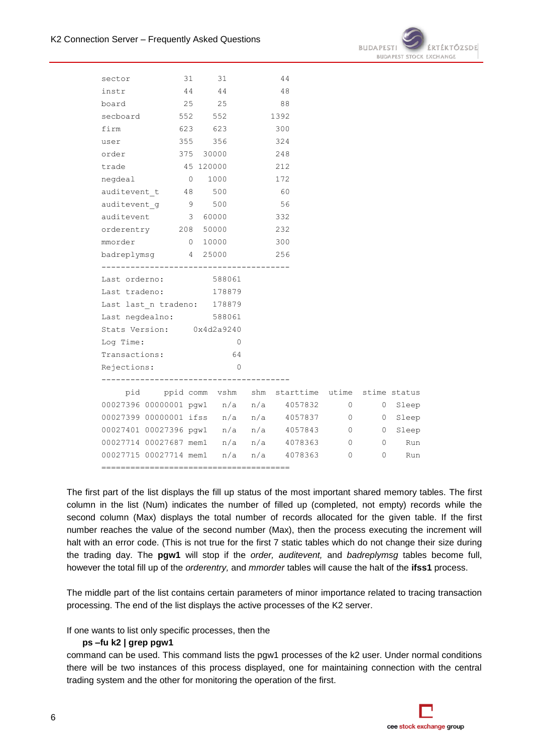

| sector                                 | 31                                                  | 31      |          |     | 44  |                                |       |
|----------------------------------------|-----------------------------------------------------|---------|----------|-----|-----|--------------------------------|-------|
| instr                                  |                                                     | 44 44   |          |     | 48  |                                |       |
| 25 25<br>board                         |                                                     |         |          | 88  |     |                                |       |
| secboard 552 552 1392                  |                                                     |         |          |     |     |                                |       |
|                                        | firm 623 623                                        |         |          | 300 |     |                                |       |
| user                                   |                                                     | 355 356 |          |     | 324 |                                |       |
|                                        | order 375 30000 248                                 |         |          |     |     |                                |       |
|                                        | trade 45 120000                                     |         |          |     | 212 |                                |       |
| negdeal                                |                                                     | 0 1000  |          |     | 172 |                                |       |
| auditevent t 48 500                    |                                                     |         |          | 60  |     |                                |       |
|                                        | auditevent_g 9 500                                  |         |          |     | 56  |                                |       |
|                                        | auditevent 3 60000                                  |         |          | 332 |     |                                |       |
|                                        | orderentry 208 50000 232                            |         |          |     |     |                                |       |
| mmorder                                |                                                     | 0 10000 |          |     | 300 |                                |       |
|                                        | badreplymsg 4 25000                                 |         |          |     | 256 |                                |       |
|                                        |                                                     |         |          |     |     |                                |       |
|                                        | Last orderno: 588061                                |         |          |     |     |                                |       |
|                                        | Last tradeno: 178879                                |         |          |     |     |                                |       |
|                                        | Last last_n tradeno: 178879                         |         |          |     |     |                                |       |
| Last negdealno: 588061                 |                                                     |         |          |     |     |                                |       |
|                                        | Stats Version: 0x4d2a9240                           |         |          |     |     |                                |       |
| Log Time:                              |                                                     |         | $\sim$ 0 |     |     |                                |       |
| Transactions:<br>64                    |                                                     |         |          |     |     |                                |       |
| Rejections:                            |                                                     |         | $\sim$ 0 |     |     |                                |       |
|                                        | pid ppid comm vshm shm starttime utime stime status |         |          |     |     |                                |       |
|                                        | 00027396 00000001 pgw1 n/a n/a 4057832 0            |         |          |     |     | $\overline{0}$                 | Sleep |
|                                        | 00027399 00000001 ifss n/a n/a 4057837 0 0 Sleep    |         |          |     |     |                                |       |
|                                        | 00027401 00027396 pgw1 n/a n/a 4057843 0 0 Sleep    |         |          |     |     |                                |       |
|                                        | 00027714 00027687 mem1 n/a n/a 4078363 0 0          |         |          |     |     |                                | Run   |
|                                        |                                                     |         |          |     |     |                                |       |
| 00027715 00027714 mem1 n/a n/a 4078363 |                                                     |         |          |     |     | $\mathbf{0}$<br>$\overline{0}$ | Run   |

The first part of the list displays the fill up status of the most important shared memory tables. The first column in the list (Num) indicates the number of filled up (completed, not empty) records while the second column (Max) displays the total number of records allocated for the given table. If the first number reaches the value of the second number (Max), then the process executing the increment will halt with an error code. (This is not true for the first 7 static tables which do not change their size during the trading day. The **pgw1** will stop if the *order, auditevent,* and *badreplymsg* tables become full, however the total fill up of the *orderentry,* and *mmorder* tables will cause the halt of the **ifss1** process.

The middle part of the list contains certain parameters of minor importance related to tracing transaction processing. The end of the list displays the active processes of the K2 server.

If one wants to list only specific processes, then the

#### **ps –fu k2 | grep pgw1**

command can be used. This command lists the pgw1 processes of the k2 user. Under normal conditions there will be two instances of this process displayed, one for maintaining connection with the central trading system and the other for monitoring the operation of the first.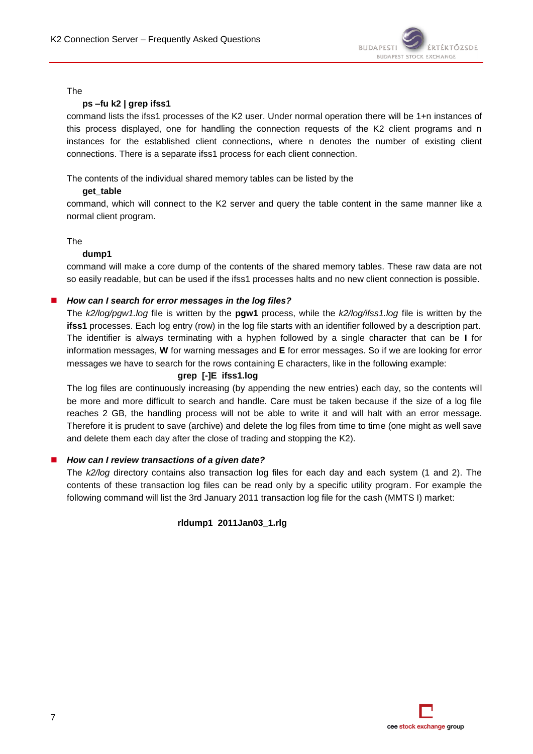

#### The

#### **ps –fu k2 | grep ifss1**

command lists the ifss1 processes of the K2 user. Under normal operation there will be 1+n instances of this process displayed, one for handling the connection requests of the K2 client programs and n instances for the established client connections, where n denotes the number of existing client connections. There is a separate ifss1 process for each client connection.

The contents of the individual shared memory tables can be listed by the

#### **get\_table**

command, which will connect to the K2 server and query the table content in the same manner like a normal client program.

#### The

#### **dump1**

command will make a core dump of the contents of the shared memory tables. These raw data are not so easily readable, but can be used if the ifss1 processes halts and no new client connection is possible.

#### *How can I search for error messages in the log files?*

The *k2/log/pgw1.log* file is written by the **pgw1** process, while the *k2/log/ifss1.log* file is written by the **ifss1** processes. Each log entry (row) in the log file starts with an identifier followed by a description part. The identifier is always terminating with a hyphen followed by a single character that can be **I** for information messages, **W** for warning messages and **E** for error messages. So if we are looking for error messages we have to search for the rows containing E characters, like in the following example:

#### **grep [-]E ifss1.log**

The log files are continuously increasing (by appending the new entries) each day, so the contents will be more and more difficult to search and handle. Care must be taken because if the size of a log file reaches 2 GB, the handling process will not be able to write it and will halt with an error message. Therefore it is prudent to save (archive) and delete the log files from time to time (one might as well save and delete them each day after the close of trading and stopping the K2).

#### *How can I review transactions of a given date?*

The *k2/log* directory contains also transaction log files for each day and each system (1 and 2). The contents of these transaction log files can be read only by a specific utility program. For example the following command will list the 3rd January 2011 transaction log file for the cash (MMTS I) market:

#### **rldump1 2011Jan03\_1.rlg**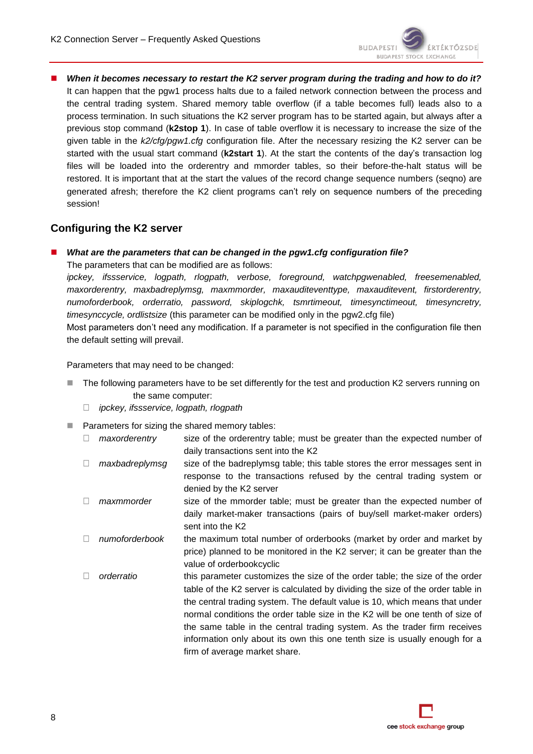■ When it becomes necessary to restart the K2 server program during the trading and how to do it? It can happen that the pgw1 process halts due to a failed network connection between the process and the central trading system. Shared memory table overflow (if a table becomes full) leads also to a process termination. In such situations the K2 server program has to be started again, but always after a previous stop command (**k2stop 1**). In case of table overflow it is necessary to increase the size of the given table in the *k2/cfg/pgw1.cfg* configuration file. After the necessary resizing the K2 server can be started with the usual start command (**k2start 1**). At the start the contents of the day's transaction log files will be loaded into the orderentry and mmorder tables, so their before-the-halt status will be restored. It is important that at the start the values of the record change sequence numbers (seqno) are generated afresh; therefore the K2 client programs can't rely on sequence numbers of the preceding session!

# **Configuring the K2 server**

### *What are the parameters that can be changed in the pgw1.cfg configuration file?*

The parameters that can be modified are as follows:

*ipckey, ifssservice, logpath, rlogpath, verbose, foreground, watchpgwenabled, freesemenabled, maxorderentry, maxbadreplymsg, maxmmorder, maxauditeventtype, maxauditevent, firstorderentry, numoforderbook, orderratio, password, skiplogchk, tsmrtimeout, timesynctimeout, timesyncretry, timesynccycle, ordlistsize* (this parameter can be modified only in the pgw2.cfg file)

Most parameters don't need any modification. If a parameter is not specified in the configuration file then the default setting will prevail.

Parameters that may need to be changed:

- The following parameters have to be set differently for the test and production K2 servers running on the same computer:
	- *ipckey, ifssservice, logpath, rlogpath*
- **Parameters for sizing the shared memory tables:** 
	- *maxorderentry* size of the orderentry table; must be greater than the expected number of daily transactions sent into the K2
	- □ *maxbadreplymsg* size of the badreplymsg table; this table stores the error messages sent in response to the transactions refused by the central trading system or denied by the K2 server
	- □ maxmmorder size of the mmorder table; must be greater than the expected number of daily market-maker transactions (pairs of buy/sell market-maker orders) sent into the K2
	- *numoforderbook* the maximum total number of orderbooks (market by order and market by price) planned to be monitored in the K2 server; it can be greater than the value of orderbookcyclic
	- □ orderratio this parameter customizes the size of the order table; the size of the order table of the K2 server is calculated by dividing the size of the order table in the central trading system. The default value is 10, which means that under normal conditions the order table size in the K2 will be one tenth of size of the same table in the central trading system. As the trader firm receives information only about its own this one tenth size is usually enough for a firm of average market share.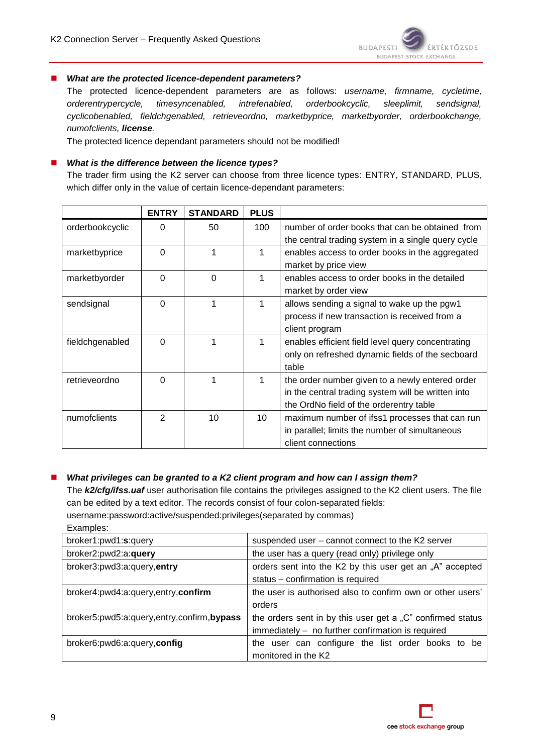

#### *What are the protected licence-dependent parameters?*

The protected licence-dependent parameters are as follows: *username, firmname, cycletime, orderentrypercycle, timesyncenabled, intrefenabled, orderbookcyclic, sleeplimit, sendsignal, cyclicobenabled, fieldchgenabled, retrieveordno, marketbyprice, marketbyorder, orderbookchange, numofclients, license.*

The protected licence dependant parameters should not be modified!

#### *What is the difference between the licence types?*

The trader firm using the K2 server can choose from three licence types: ENTRY, STANDARD, PLUS, which differ only in the value of certain licence-dependant parameters:

|                 | <b>ENTRY</b> | <b>STANDARD</b> | <b>PLUS</b> |                                                                                                                                                  |
|-----------------|--------------|-----------------|-------------|--------------------------------------------------------------------------------------------------------------------------------------------------|
| orderbookcyclic | 0            | 50              | 100         | number of order books that can be obtained from<br>the central trading system in a single query cycle                                            |
| marketbyprice   | $\Omega$     | 1               | 1           | enables access to order books in the aggregated<br>market by price view                                                                          |
| marketbyorder   | $\Omega$     | $\Omega$        | 1           | enables access to order books in the detailed<br>market by order view                                                                            |
| sendsignal      | $\Omega$     | 1               | 1           | allows sending a signal to wake up the pgw1<br>process if new transaction is received from a<br>client program                                   |
| fieldchgenabled | $\Omega$     |                 |             | enables efficient field level query concentrating<br>only on refreshed dynamic fields of the secboard<br>table                                   |
| retrieveordno   | $\Omega$     | 1               | 1           | the order number given to a newly entered order<br>in the central trading system will be written into<br>the OrdNo field of the orderentry table |
| numofclients    | 2            | 10              | 10          | maximum number of ifss1 processes that can run<br>in parallel; limits the number of simultaneous<br>client connections                           |

#### ■ What privileges can be granted to a K2 client program and how can *I* assign them?

The *k2/cfg/ifss.uaf* user authorisation file contains the privileges assigned to the K2 client users. The file can be edited by a text editor. The records consist of four colon-separated fields: username:password:active/suspended:privileges(separated by commas)

Examples:

| broker1:pwd1:s:query                      | suspended user - cannot connect to the K2 server           |
|-------------------------------------------|------------------------------------------------------------|
| broker2:pwd2:a:query                      | the user has a query (read only) privilege only            |
| broker3:pwd3:a:query,entry                | orders sent into the K2 by this user get an "A" accepted   |
|                                           | status - confirmation is required                          |
| broker4:pwd4:a:query,entry,confirm        | the user is authorised also to confirm own or other users' |
|                                           | orders                                                     |
| broker5:pwd5:a:query,entry,confirm,bypass | the orders sent in by this user get a "C" confirmed status |
|                                           | immediately - no further confirmation is required          |
| broker6:pwd6:a:query,config               | user can configure the list order books to be<br>the       |
|                                           | monitored in the K2                                        |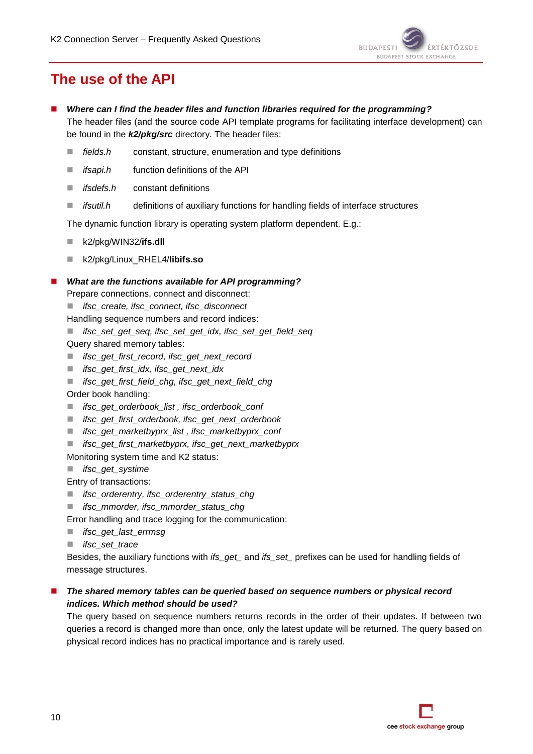

# **The use of the API**

- *Where can I find the header files and function libraries required for the programming?* The header files (and the source code API template programs for facilitating interface development) can be found in the *k2/pkg/src* directory. The header files:
	- *fields.h* constant, structure, enumeration and type definitions
	- *ifsapi.h* function definitions of the API
	- *ifsdefs.h* constant definitions
	- *ifsutil.h* definitions of auxiliary functions for handling fields of interface structures

The dynamic function library is operating system platform dependent. E.g.:

- k2/pkg/WIN32/**ifs.dll**
- k2/pkg/Linux\_RHEL4/**libifs.so**

#### *What are the functions available for API programming?*

Prepare connections, connect and disconnect:

*ifsc\_create, ifsc\_connect, ifsc\_disconnect*

Handling sequence numbers and record indices:

- *ifsc\_set\_get\_seq, ifsc\_set\_get\_idx, ifsc\_set\_get\_field\_seq*
- Query shared memory tables:
- *ifsc\_get\_first\_record, ifsc\_get\_next\_record*
- *ifsc\_get\_first\_idx, ifsc\_get\_next\_idx*
- *ifsc\_get\_first\_field\_chg, ifsc\_get\_next\_field\_chg*
- Order book handling:
- *ifsc\_get\_orderbook\_list , ifsc\_orderbook\_conf*
- *ifsc\_get\_first\_orderbook, ifsc\_get\_next\_orderbook*
- *ifsc\_get\_marketbyprx\_list , ifsc\_marketbyprx\_conf*
- *ifsc\_get\_first\_marketbyprx, ifsc\_get\_next\_marketbyprx*

Monitoring system time and K2 status:

- *ifsc\_get\_systime*
- Entry of transactions:
- *ifsc\_orderentry, ifsc\_orderentry\_status\_chg*
- *ifsc\_mmorder, ifsc\_mmorder\_status\_chg*

Error handling and trace logging for the communication:

- *ifsc\_get\_last\_errmsg*
- *ifsc\_set\_trace*

Besides, the auxiliary functions with *ifs\_get\_* and *ifs\_set\_* prefixes can be used for handling fields of message structures.

### *The shared memory tables can be queried based on sequence numbers or physical record indices. Which method should be used?*

The query based on sequence numbers returns records in the order of their updates. If between two queries a record is changed more than once, only the latest update will be returned. The query based on physical record indices has no practical importance and is rarely used.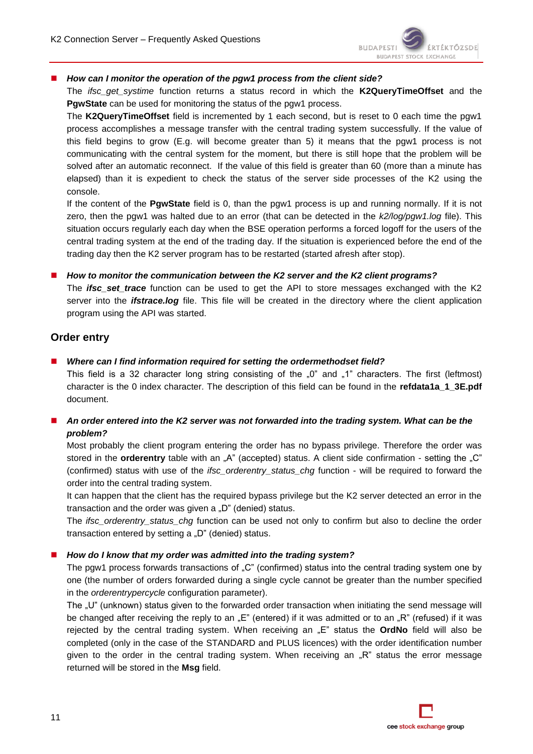

#### ■ *How can I monitor the operation of the pgw1 process from the client side?*

The *ifsc\_get\_systime* function returns a status record in which the **K2QueryTimeOffset** and the **PgwState** can be used for monitoring the status of the pgw1 process.

The **K2QueryTimeOffset** field is incremented by 1 each second, but is reset to 0 each time the pgw1 process accomplishes a message transfer with the central trading system successfully. If the value of this field begins to grow (E.g. will become greater than 5) it means that the pgw1 process is not communicating with the central system for the moment, but there is still hope that the problem will be solved after an automatic reconnect. If the value of this field is greater than 60 (more than a minute has elapsed) than it is expedient to check the status of the server side processes of the K2 using the console.

If the content of the **PgwState** field is 0, than the pgw1 process is up and running normally. If it is not zero, then the pgw1 was halted due to an error (that can be detected in the *k2/log/pgw1.log* file). This situation occurs regularly each day when the BSE operation performs a forced logoff for the users of the central trading system at the end of the trading day. If the situation is experienced before the end of the trading day then the K2 server program has to be restarted (started afresh after stop).

*How to monitor the communication between the K2 server and the K2 client programs?*

The *ifsc\_set\_trace* function can be used to get the API to store messages exchanged with the K2 server into the *ifstrace.log* file. This file will be created in the directory where the client application program using the API was started.

## **Order entry**

*Where can I find information required for setting the ordermethodset field?*

This field is a 32 character long string consisting of the  $\omega$ " and  $\omega$ -1" characters. The first (leftmost) character is the 0 index character. The description of this field can be found in the **refdata1a 1 3E.pdf** document.

■ An order entered into the K2 server was not forwarded into the trading system. What can be the *problem?*

Most probably the client program entering the order has no bypass privilege. Therefore the order was stored in the **orderentry** table with an "A" (accepted) status. A client side confirmation - setting the "C" (confirmed) status with use of the *ifsc\_orderentry\_status\_chg* function - will be required to forward the order into the central trading system.

It can happen that the client has the required bypass privilege but the K2 server detected an error in the transaction and the order was given a "D" (denied) status.

The *ifsc* orderentry status chg function can be used not only to confirm but also to decline the order transaction entered by setting  $a$  "D" (denied) status.

*How do I know that my order was admitted into the trading system?*

The pgw1 process forwards transactions of "C" (confirmed) status into the central trading system one by one (the number of orders forwarded during a single cycle cannot be greater than the number specified in the *orderentrypercycle* configuration parameter).

The "U" (unknown) status given to the forwarded order transaction when initiating the send message will be changed after receiving the reply to an "E" (entered) if it was admitted or to an "R" (refused) if it was rejected by the central trading system. When receiving an "E" status the **OrdNo** field will also be completed (only in the case of the STANDARD and PLUS licences) with the order identification number given to the order in the central trading system. When receiving an  $\mathbb{R}^n$  status the error message returned will be stored in the **Msg** field.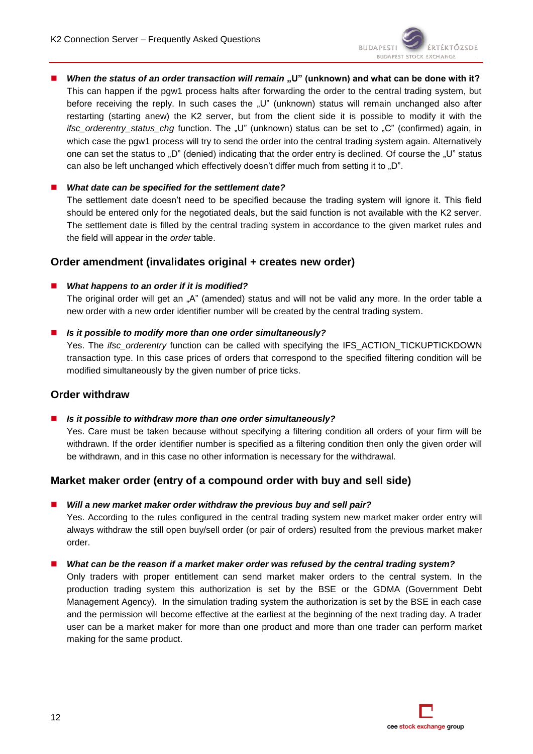■ *When the status of an order transaction will remain* "U" (unknown) and what can be done with it? This can happen if the pgw1 process halts after forwarding the order to the central trading system, but before receiving the reply. In such cases the "U" (unknown) status will remain unchanged also after restarting (starting anew) the K2 server, but from the client side it is possible to modify it with the *ifsc\_orderentry\_status\_chg* function. The "U" (unknown) status can be set to "C" (confirmed) again, in which case the pgw1 process will try to send the order into the central trading system again. Alternatively one can set the status to "D" (denied) indicating that the order entry is declined. Of course the "U" status can also be left unchanged which effectively doesn't differ much from setting it to "D".

### *What date can be specified for the settlement date?*

The settlement date doesn't need to be specified because the trading system will ignore it. This field should be entered only for the negotiated deals, but the said function is not available with the K2 server. The settlement date is filled by the central trading system in accordance to the given market rules and the field will appear in the *order* table.

# **Order amendment (invalidates original + creates new order)**

#### *What happens to an order if it is modified?*

The original order will get an "A" (amended) status and will not be valid any more. In the order table a new order with a new order identifier number will be created by the central trading system.

*Is it possible to modify more than one order simultaneously?*

Yes. The *ifsc\_orderentry* function can be called with specifying the IFS\_ACTION\_TICKUPTICKDOWN transaction type. In this case prices of orders that correspond to the specified filtering condition will be modified simultaneously by the given number of price ticks.

### **Order withdraw**

*Is it possible to withdraw more than one order simultaneously?*

Yes. Care must be taken because without specifying a filtering condition all orders of your firm will be withdrawn. If the order identifier number is specified as a filtering condition then only the given order will be withdrawn, and in this case no other information is necessary for the withdrawal.

### **Market maker order (entry of a compound order with buy and sell side)**

*Will a new market maker order withdraw the previous buy and sell pair?*

Yes. According to the rules configured in the central trading system new market maker order entry will always withdraw the still open buy/sell order (or pair of orders) resulted from the previous market maker order.

#### *What can be the reason if a market maker order was refused by the central trading system?*

Only traders with proper entitlement can send market maker orders to the central system. In the production trading system this authorization is set by the BSE or the GDMA (Government Debt Management Agency). In the simulation trading system the authorization is set by the BSE in each case and the permission will become effective at the earliest at the beginning of the next trading day. A trader user can be a market maker for more than one product and more than one trader can perform market making for the same product.

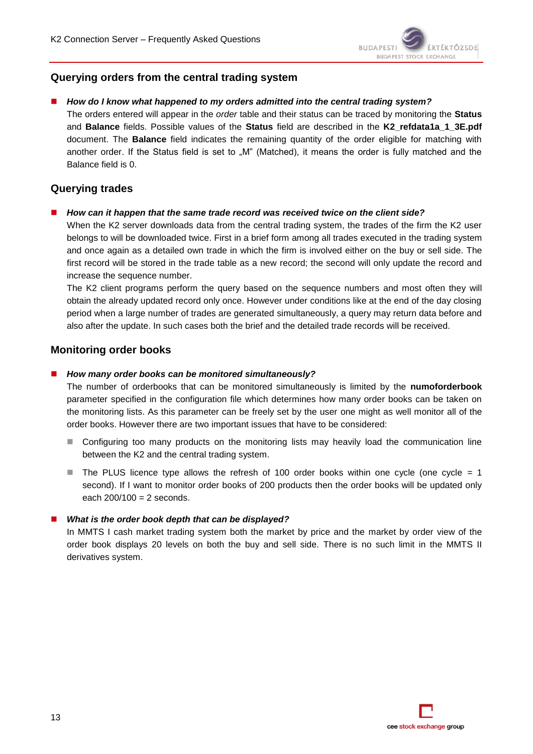# **Querying orders from the central trading system**

#### *How do I know what happened to my orders admitted into the central trading system?*

The orders entered will appear in the *order* table and their status can be traced by monitoring the **Status** and **Balance** fields. Possible values of the **Status** field are described in the **K2\_refdata1a\_1\_3E.pdf** document. The **Balance** field indicates the remaining quantity of the order eligible for matching with another order. If the Status field is set to "M" (Matched), it means the order is fully matched and the Balance field is 0.

### **Querying trades**

#### *How can it happen that the same trade record was received twice on the client side?*

When the K2 server downloads data from the central trading system, the trades of the firm the K2 user belongs to will be downloaded twice. First in a brief form among all trades executed in the trading system and once again as a detailed own trade in which the firm is involved either on the buy or sell side. The first record will be stored in the trade table as a new record; the second will only update the record and increase the sequence number.

The K2 client programs perform the query based on the sequence numbers and most often they will obtain the already updated record only once. However under conditions like at the end of the day closing period when a large number of trades are generated simultaneously, a query may return data before and also after the update. In such cases both the brief and the detailed trade records will be received.

### **Monitoring order books**

#### *How many order books can be monitored simultaneously?*

The number of orderbooks that can be monitored simultaneously is limited by the **numoforderbook** parameter specified in the configuration file which determines how many order books can be taken on the monitoring lists. As this parameter can be freely set by the user one might as well monitor all of the order books. However there are two important issues that have to be considered:

- Configuring too many products on the monitoring lists may heavily load the communication line between the K2 and the central trading system.
- The PLUS licence type allows the refresh of 100 order books within one cycle (one cycle  $= 1$ ) second). If I want to monitor order books of 200 products then the order books will be updated only each  $200/100 = 2$  seconds.

#### *What is the order book depth that can be displayed?*

In MMTS I cash market trading system both the market by price and the market by order view of the order book displays 20 levels on both the buy and sell side. There is no such limit in the MMTS II derivatives system.